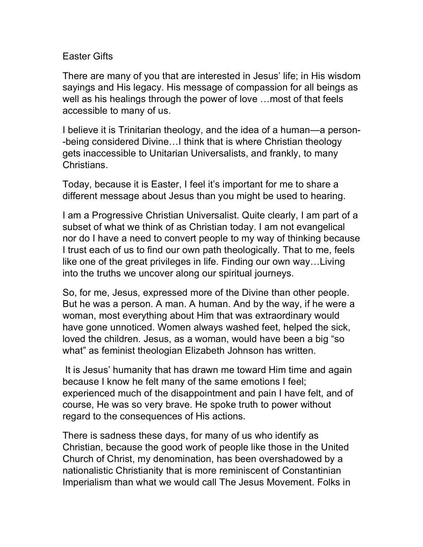## Easter Gifts

There are many of you that are interested in Jesus' life; in His wisdom sayings and His legacy. His message of compassion for all beings as well as his healings through the power of love …most of that feels accessible to many of us.

I believe it is Trinitarian theology, and the idea of a human—a person- -being considered Divine…I think that is where Christian theology gets inaccessible to Unitarian Universalists, and frankly, to many Christians.

Today, because it is Easter, I feel it's important for me to share a different message about Jesus than you might be used to hearing.

I am a Progressive Christian Universalist. Quite clearly, I am part of a subset of what we think of as Christian today. I am not evangelical nor do I have a need to convert people to my way of thinking because I trust each of us to find our own path theologically. That to me, feels like one of the great privileges in life. Finding our own way…Living into the truths we uncover along our spiritual journeys.

So, for me, Jesus, expressed more of the Divine than other people. But he was a person. A man. A human. And by the way, if he were a woman, most everything about Him that was extraordinary would have gone unnoticed. Women always washed feet, helped the sick, loved the children. Jesus, as a woman, would have been a big "so what" as feminist theologian Elizabeth Johnson has written.

It is Jesus' humanity that has drawn me toward Him time and again because I know he felt many of the same emotions I feel; experienced much of the disappointment and pain I have felt, and of course, He was so very brave. He spoke truth to power without regard to the consequences of His actions.

There is sadness these days, for many of us who identify as Christian, because the good work of people like those in the United Church of Christ, my denomination, has been overshadowed by a nationalistic Christianity that is more reminiscent of Constantinian Imperialism than what we would call The Jesus Movement. Folks in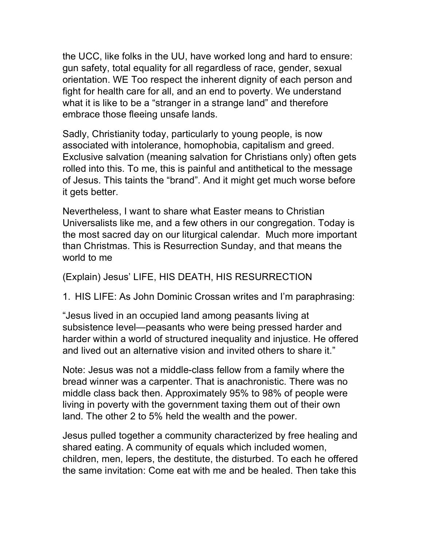the UCC, like folks in the UU, have worked long and hard to ensure: gun safety, total equality for all regardless of race, gender, sexual orientation. WE Too respect the inherent dignity of each person and fight for health care for all, and an end to poverty. We understand what it is like to be a "stranger in a strange land" and therefore embrace those fleeing unsafe lands.

Sadly, Christianity today, particularly to young people, is now associated with intolerance, homophobia, capitalism and greed. Exclusive salvation (meaning salvation for Christians only) often gets rolled into this. To me, this is painful and antithetical to the message of Jesus. This taints the "brand". And it might get much worse before it gets better.

Nevertheless, I want to share what Easter means to Christian Universalists like me, and a few others in our congregation. Today is the most sacred day on our liturgical calendar. Much more important than Christmas. This is Resurrection Sunday, and that means the world to me

(Explain) Jesus' LIFE, HIS DEATH, HIS RESURRECTION

1. HIS LIFE: As John Dominic Crossan writes and I'm paraphrasing:

"Jesus lived in an occupied land among peasants living at subsistence level—peasants who were being pressed harder and harder within a world of structured inequality and injustice. He offered and lived out an alternative vision and invited others to share it."

Note: Jesus was not a middle-class fellow from a family where the bread winner was a carpenter. That is anachronistic. There was no middle class back then. Approximately 95% to 98% of people were living in poverty with the government taxing them out of their own land. The other 2 to 5% held the wealth and the power.

Jesus pulled together a community characterized by free healing and shared eating. A community of equals which included women, children, men, lepers, the destitute, the disturbed. To each he offered the same invitation: Come eat with me and be healed. Then take this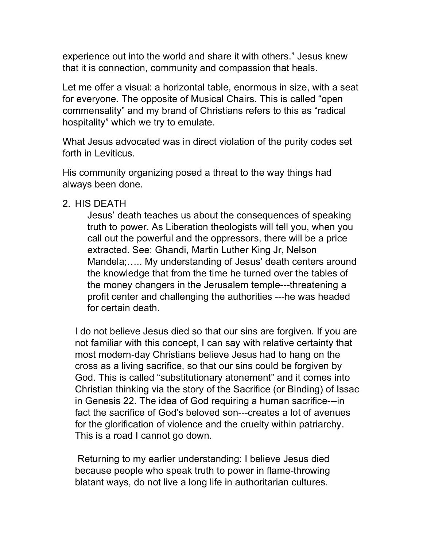experience out into the world and share it with others." Jesus knew that it is connection, community and compassion that heals.

Let me offer a visual: a horizontal table, enormous in size, with a seat for everyone. The opposite of Musical Chairs. This is called "open commensality" and my brand of Christians refers to this as "radical hospitality" which we try to emulate.

What Jesus advocated was in direct violation of the purity codes set forth in Leviticus.

His community organizing posed a threat to the way things had always been done.

## 2. HIS DEATH

Jesus' death teaches us about the consequences of speaking truth to power. As Liberation theologists will tell you, when you call out the powerful and the oppressors, there will be a price extracted. See: Ghandi, Martin Luther King Jr, Nelson Mandela;….. My understanding of Jesus' death centers around the knowledge that from the time he turned over the tables of the money changers in the Jerusalem temple---threatening a profit center and challenging the authorities ---he was headed for certain death.

I do not believe Jesus died so that our sins are forgiven. If you are not familiar with this concept, I can say with relative certainty that most modern-day Christians believe Jesus had to hang on the cross as a living sacrifice, so that our sins could be forgiven by God. This is called "substitutionary atonement" and it comes into Christian thinking via the story of the Sacrifice (or Binding) of Issac in Genesis 22. The idea of God requiring a human sacrifice---in fact the sacrifice of God's beloved son---creates a lot of avenues for the glorification of violence and the cruelty within patriarchy. This is a road I cannot go down.

Returning to my earlier understanding: I believe Jesus died because people who speak truth to power in flame-throwing blatant ways, do not live a long life in authoritarian cultures.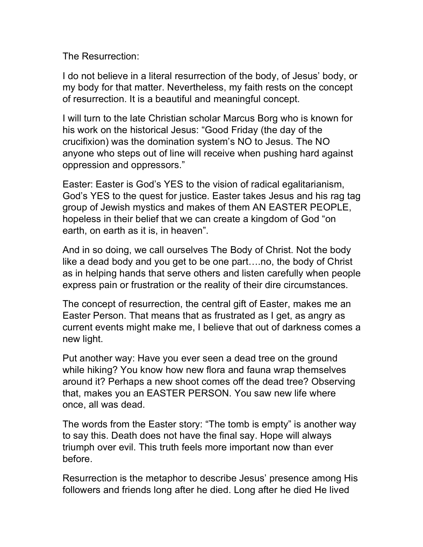The Resurrection:

I do not believe in a literal resurrection of the body, of Jesus' body, or my body for that matter. Nevertheless, my faith rests on the concept of resurrection. It is a beautiful and meaningful concept.

I will turn to the late Christian scholar Marcus Borg who is known for his work on the historical Jesus: "Good Friday (the day of the crucifixion) was the domination system's NO to Jesus. The NO anyone who steps out of line will receive when pushing hard against oppression and oppressors."

Easter: Easter is God's YES to the vision of radical egalitarianism, God's YES to the quest for justice. Easter takes Jesus and his rag tag group of Jewish mystics and makes of them AN EASTER PEOPLE, hopeless in their belief that we can create a kingdom of God "on earth, on earth as it is, in heaven".

And in so doing, we call ourselves The Body of Christ. Not the body like a dead body and you get to be one part….no, the body of Christ as in helping hands that serve others and listen carefully when people express pain or frustration or the reality of their dire circumstances.

The concept of resurrection, the central gift of Easter, makes me an Easter Person. That means that as frustrated as I get, as angry as current events might make me, I believe that out of darkness comes a new light.

Put another way: Have you ever seen a dead tree on the ground while hiking? You know how new flora and fauna wrap themselves around it? Perhaps a new shoot comes off the dead tree? Observing that, makes you an EASTER PERSON. You saw new life where once, all was dead.

The words from the Easter story: "The tomb is empty" is another way to say this. Death does not have the final say. Hope will always triumph over evil. This truth feels more important now than ever before.

Resurrection is the metaphor to describe Jesus' presence among His followers and friends long after he died. Long after he died He lived